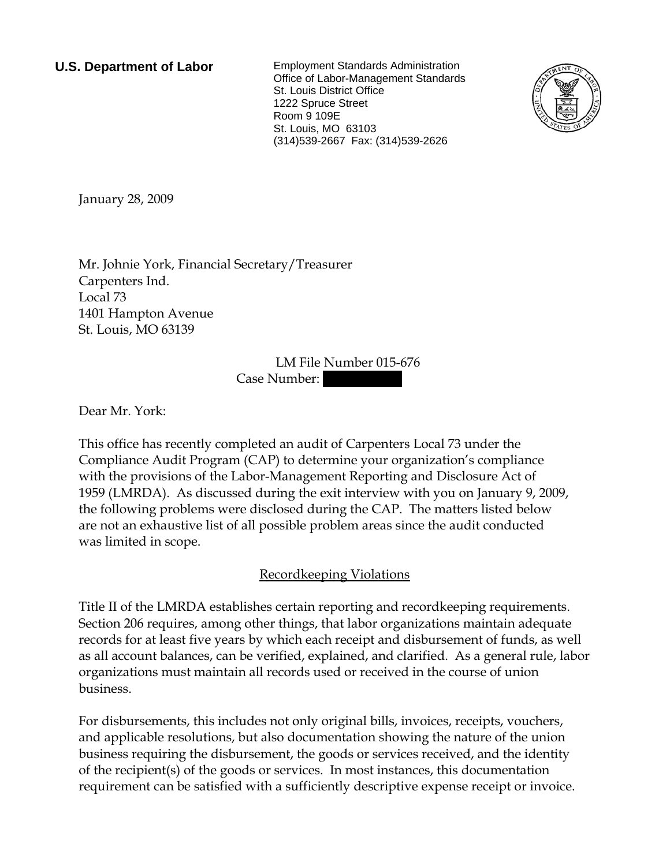**U.S. Department of Labor** Employment Standards Administration Office of Labor-Management Standards St. Louis District Office 1222 Spruce Street Room 9 109E St. Louis, MO 63103 (314)539-2667 Fax: (314)539-2626



<span id="page-0-0"></span>January 28, 2009

[Mr.](#page-0-0) [Johnie](#page-0-0) [York,](#page-0-0) Financial Secretary/Treasurer Carpenters Ind. [Local 73](#page-0-0)  1401 Hampton Avenue [St. Louis, MO 63139](#page-0-0) 

> LM File Number [015-676](#page-0-0)  Case Number:

Dear [Mr.](#page-0-0) [York:](#page-0-0)

This office has recently completed an audit of [Carpenters Local 73](#page-0-0) under the Compliance Audit Program (CAP) to determine your organization's compliance with the provisions of the Labor-Management Reporting and Disclosure Act of 1959 (LMRDA). As discussed during the exit interview with [you](#page-0-0) on [January 9, 2009,](#page-0-0) the following problems were disclosed during the CAP. The matters listed below are not an exhaustive list of all possible problem areas since the audit conducted was limited in scope.

## Recordkeeping Violations

Title II of the LMRDA establishes certain reporting and recordkeeping requirements. Section 206 requires, among other things, that labor organizations maintain adequate records for at least five years by which each receipt and disbursement of funds, as well as all account balances, can be verified, explained, and clarified. As a general rule, labor organizations must maintain all records used or received in the course of union business.

For disbursements, this includes not only original bills, invoices, receipts, vouchers, and applicable resolutions, but also documentation showing the nature of the union business requiring the disbursement, the goods or services received, and the identity of the recipient(s) of the goods or services. In most instances, this documentation requirement can be satisfied with a sufficiently descriptive expense receipt or invoice.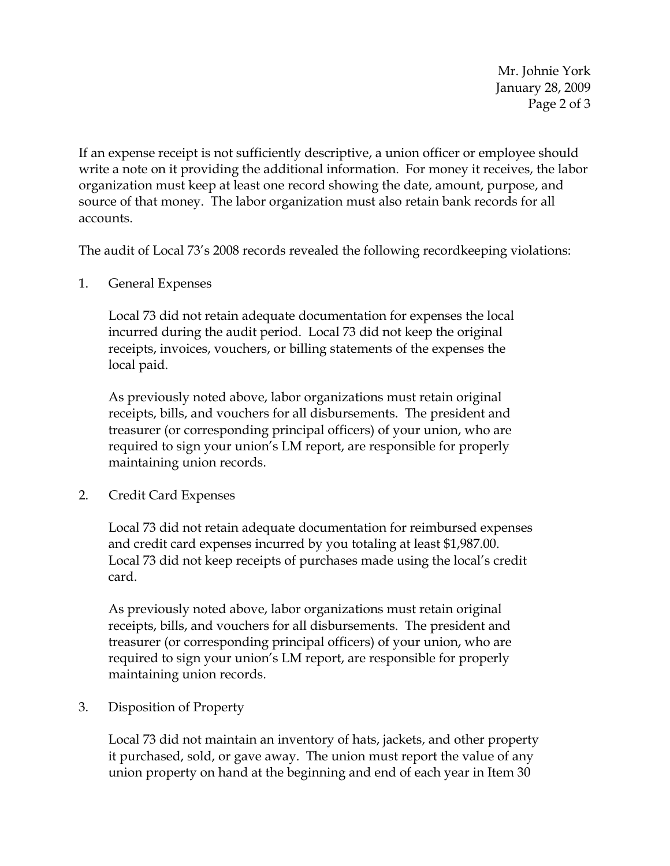Mr. Johnie York January 28, 2009 Page 2 of 3

If an expense receipt is not sufficiently descriptive, a union officer or employee should write a note on it providing the additional information. For money it receives, the labor organization must keep at least one record showing the date, amount, purpose, and source of that money. The labor organization must also retain bank records for all accounts.

The audit of Local 73's 2008 records revealed the following recordkeeping violations:

1. General Expenses

Local 73 did not retain adequate documentation for expenses the local incurred during the audit period. Local 73 did not keep the original receipts, invoices, vouchers, or billing statements of the expenses the local paid.

As previously noted above, labor organizations must retain original receipts, bills, and vouchers for all disbursements. The president and treasurer (or corresponding principal officers) of your union, who are required to sign your union's LM report, are responsible for properly maintaining union records.

2. Credit Card Expenses

Local 73 did not retain adequate documentation for reimbursed expenses and credit card expenses incurred by you totaling at least \$1,987.00. Local 73 did not keep receipts of purchases made using the local's credit card.

As previously noted above, labor organizations must retain original receipts, bills, and vouchers for all disbursements. The president and treasurer (or corresponding principal officers) of your union, who are required to sign your union's LM report, are responsible for properly maintaining union records.

3. Disposition of Property

Local 73 did not maintain an inventory of hats, jackets, and other property it purchased, sold, or gave away. The union must report the value of any union property on hand at the beginning and end of each year in Item 30